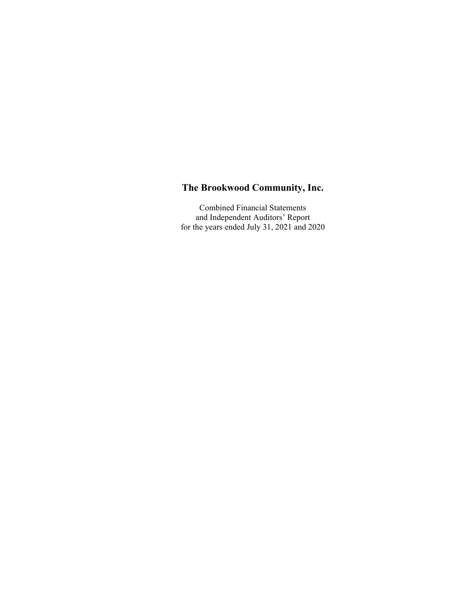Combined Financial Statements and Independent Auditors' Report for the years ended July 31, 2021 and 2020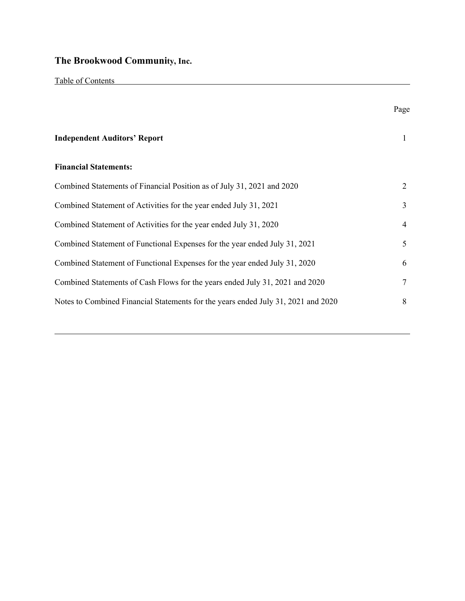|                                                                                   | Page |
|-----------------------------------------------------------------------------------|------|
| <b>Independent Auditors' Report</b>                                               | 1    |
| <b>Financial Statements:</b>                                                      |      |
| Combined Statements of Financial Position as of July 31, 2021 and 2020            | 2    |
| Combined Statement of Activities for the year ended July 31, 2021                 | 3    |
| Combined Statement of Activities for the year ended July 31, 2020                 | 4    |
| Combined Statement of Functional Expenses for the year ended July 31, 2021        | 5    |
| Combined Statement of Functional Expenses for the year ended July 31, 2020        | 6    |
| Combined Statements of Cash Flows for the years ended July 31, 2021 and 2020      | 7    |
| Notes to Combined Financial Statements for the years ended July 31, 2021 and 2020 | 8    |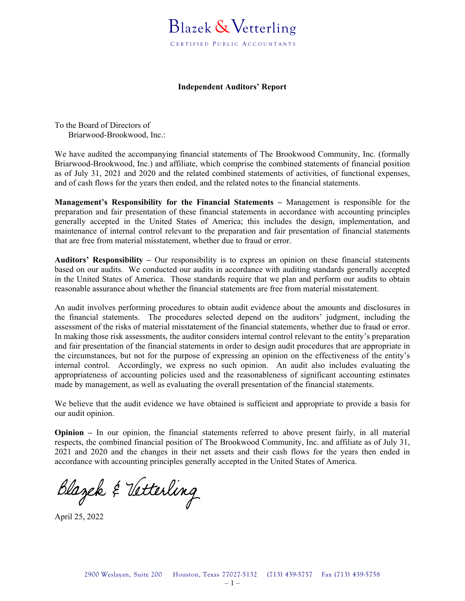

#### **Independent Auditors' Report**

To the Board of Directors of Briarwood-Brookwood, Inc.:

We have audited the accompanying financial statements of The Brookwood Community, Inc. (formally Briarwood-Brookwood, Inc.) and affiliate, which comprise the combined statements of financial position as of July 31, 2021 and 2020 and the related combined statements of activities, of functional expenses, and of cash flows for the years then ended, and the related notes to the financial statements.

**Management's Responsibility for the Financial Statements –** Management is responsible for the preparation and fair presentation of these financial statements in accordance with accounting principles generally accepted in the United States of America; this includes the design, implementation, and maintenance of internal control relevant to the preparation and fair presentation of financial statements that are free from material misstatement, whether due to fraud or error.

**Auditors' Responsibility –** Our responsibility is to express an opinion on these financial statements based on our audits. We conducted our audits in accordance with auditing standards generally accepted in the United States of America. Those standards require that we plan and perform our audits to obtain reasonable assurance about whether the financial statements are free from material misstatement.

An audit involves performing procedures to obtain audit evidence about the amounts and disclosures in the financial statements. The procedures selected depend on the auditors' judgment, including the assessment of the risks of material misstatement of the financial statements, whether due to fraud or error. In making those risk assessments, the auditor considers internal control relevant to the entity's preparation and fair presentation of the financial statements in order to design audit procedures that are appropriate in the circumstances, but not for the purpose of expressing an opinion on the effectiveness of the entity's internal control. Accordingly, we express no such opinion. An audit also includes evaluating the appropriateness of accounting policies used and the reasonableness of significant accounting estimates made by management, as well as evaluating the overall presentation of the financial statements.

We believe that the audit evidence we have obtained is sufficient and appropriate to provide a basis for our audit opinion.

**Opinion –** In our opinion, the financial statements referred to above present fairly, in all material respects, the combined financial position of The Brookwood Community, Inc. and affiliate as of July 31, 2021 and 2020 and the changes in their net assets and their cash flows for the years then ended in accordance with accounting principles generally accepted in the United States of America.

Blazek & Vetterling

April 25, 2022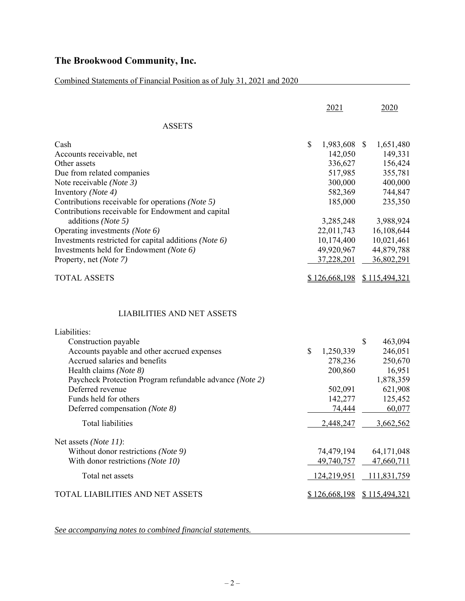# Combined Statements of Financial Position as of July 31, 2021 and 2020

|                                                         |              | 2021               | 2020          |
|---------------------------------------------------------|--------------|--------------------|---------------|
| <b>ASSETS</b>                                           |              |                    |               |
| Cash                                                    | $\mathbb{S}$ | 1,983,608 \$       | 1,651,480     |
| Accounts receivable, net                                |              | 142,050            | 149,331       |
| Other assets                                            |              | 336,627            | 156,424       |
| Due from related companies                              |              | 517,985            | 355,781       |
| Note receivable (Note 3)                                |              | 300,000            | 400,000       |
| Inventory (Note 4)                                      |              | 582,369            | 744,847       |
| Contributions receivable for operations (Note 5)        |              | 185,000            | 235,350       |
| Contributions receivable for Endowment and capital      |              |                    |               |
| additions (Note 5)                                      |              | 3,285,248          | 3,988,924     |
| Operating investments (Note 6)                          |              | 22,011,743         | 16,108,644    |
| Investments restricted for capital additions (Note 6)   |              | 10,174,400         | 10,021,461    |
| Investments held for Endowment (Note 6)                 |              | 49,920,967         | 44,879,788    |
| Property, net (Note 7)                                  |              | 37,228,201         | 36,802,291    |
| <b>TOTAL ASSETS</b>                                     |              | \$126,668,198      | \$115,494,321 |
| <b>LIABILITIES AND NET ASSETS</b>                       |              |                    |               |
| Liabilities:                                            |              |                    |               |
| Construction payable                                    |              |                    | \$<br>463,094 |
| Accounts payable and other accrued expenses             | \$           | 1,250,339          | 246,051       |
| Accrued salaries and benefits                           |              | 278,236            | 250,670       |
| Health claims (Note 8)                                  |              | 200,860            | 16,951        |
| Paycheck Protection Program refundable advance (Note 2) |              |                    | 1,878,359     |
| Deferred revenue                                        |              | 502,091            | 621,908       |
| Funds held for others                                   |              | 142,277            | 125,452       |
| Deferred compensation (Note 8)                          |              | 74,444             | 60,077        |
| <b>Total liabilities</b>                                |              | 2,448,247          | 3,662,562     |
| Net assets ( <i>Note 11</i> ):                          |              |                    |               |
| Without donor restrictions (Note 9)                     |              | 74,479,194         | 64,171,048    |
| With donor restrictions (Note 10)                       |              | 49,740,757         | 47,660,711    |
| Total net assets                                        |              | <u>124,219,951</u> | 111,831,759   |
| TOTAL LIABILITIES AND NET ASSETS                        |              | \$126,668,198      | \$115,494,321 |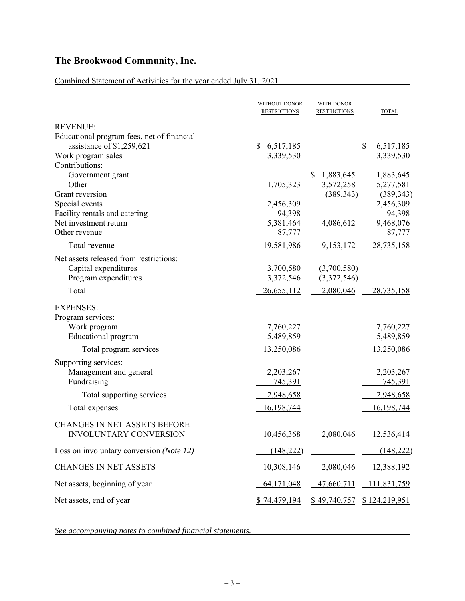# Combined Statement of Activities for the year ended July 31, 2021

|                                                                              | WITHOUT DONOR<br><b>RESTRICTIONS</b> | WITH DONOR<br><b>RESTRICTIONS</b> | <b>TOTAL</b>              |
|------------------------------------------------------------------------------|--------------------------------------|-----------------------------------|---------------------------|
| <b>REVENUE:</b>                                                              |                                      |                                   |                           |
| Educational program fees, net of financial                                   |                                      |                                   |                           |
| assistance of \$1,259,621                                                    | \$<br>6,517,185                      |                                   | $\mathbb{S}$<br>6,517,185 |
| Work program sales                                                           | 3,339,530                            |                                   | 3,339,530                 |
| Contributions:                                                               |                                      |                                   |                           |
| Government grant                                                             |                                      | \$<br>1,883,645                   | 1,883,645                 |
| Other                                                                        | 1,705,323                            | 3,572,258                         | 5,277,581                 |
| Grant reversion                                                              |                                      | (389, 343)                        | (389, 343)                |
| Special events                                                               | 2,456,309                            |                                   | 2,456,309                 |
| Facility rentals and catering                                                | 94,398                               |                                   | 94,398                    |
| Net investment return                                                        | 5,381,464                            | 4,086,612                         | 9,468,076                 |
| Other revenue                                                                | 87,777                               |                                   | 87,777                    |
| Total revenue                                                                | 19,581,986                           | 9,153,172                         | 28,735,158                |
| Net assets released from restrictions:                                       |                                      |                                   |                           |
| Capital expenditures                                                         | 3,700,580                            | (3,700,580)                       |                           |
| Program expenditures                                                         | 3,372,546                            | (3,372,546)                       |                           |
| Total                                                                        | 26,655,112                           | 2,080,046                         | 28,735,158                |
| <b>EXPENSES:</b><br>Program services:<br>Work program<br>Educational program | 7,760,227<br>5,489,859               |                                   | 7,760,227<br>5,489,859    |
| Total program services                                                       | 13,250,086                           |                                   | 13,250,086                |
| Supporting services:                                                         |                                      |                                   |                           |
| Management and general                                                       | 2,203,267                            |                                   | 2,203,267                 |
| Fundraising                                                                  | 745,391                              |                                   | <u>745,391</u>            |
| Total supporting services                                                    | 2,948,658                            |                                   | 2,948,658                 |
| Total expenses                                                               | 16,198,744                           |                                   | 16,198,744                |
| <b>CHANGES IN NET ASSETS BEFORE</b><br><b>INVOLUNTARY CONVERSION</b>         | 10,456,368                           | 2,080,046                         | 12,536,414                |
| Loss on involuntary conversion (Note 12)                                     | (148, 222)                           |                                   | (148, 222)                |
| <b>CHANGES IN NET ASSETS</b>                                                 | 10,308,146                           | 2,080,046                         | 12,388,192                |
| Net assets, beginning of year                                                | 64,171,048                           | 47,660,711                        | 111,831,759               |
| Net assets, end of year                                                      | <u>\$74,479,194</u>                  | \$49,740,757                      | \$124,219,951             |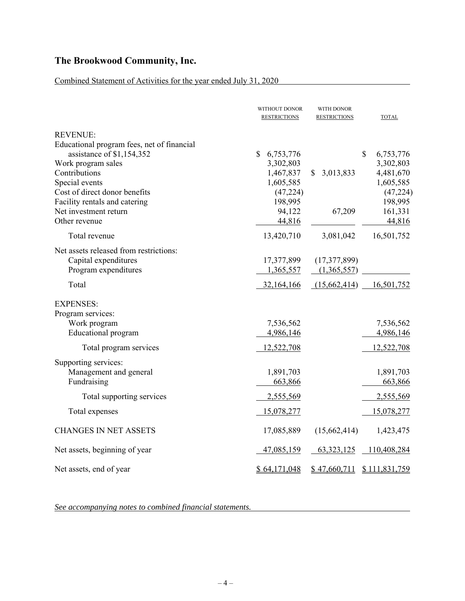# Combined Statement of Activities for the year ended July 31, 2020

|                                                                                        | <b>WITHOUT DONOR</b><br><b>RESTRICTIONS</b>      | WITH DONOR<br><b>RESTRICTIONS</b> | <b>TOTAL</b>                                     |
|----------------------------------------------------------------------------------------|--------------------------------------------------|-----------------------------------|--------------------------------------------------|
| <b>REVENUE:</b>                                                                        |                                                  |                                   |                                                  |
| Educational program fees, net of financial<br>assistance of \$1,154,352                | \$<br>6,753,776                                  |                                   | \$<br>6,753,776                                  |
| Work program sales<br>Contributions<br>Special events<br>Cost of direct donor benefits | 3,302,803<br>1,467,837<br>1,605,585<br>(47, 224) | 3,013,833<br>$\mathbb{S}$         | 3,302,803<br>4,481,670<br>1,605,585<br>(47, 224) |
| Facility rentals and catering<br>Net investment return<br>Other revenue                | 198,995<br>94,122<br>44,816                      | 67,209                            | 198,995<br>161,331<br>44,816                     |
| Total revenue                                                                          | 13,420,710                                       | 3,081,042                         | 16,501,752                                       |
| Net assets released from restrictions:<br>Capital expenditures<br>Program expenditures | 17,377,899<br>1,365,557                          | (17, 377, 899)<br>(1,365,557)     |                                                  |
| Total                                                                                  | 32,164,166                                       | (15,662,414)                      | 16,501,752                                       |
| <b>EXPENSES:</b><br>Program services:<br>Work program<br><b>Educational</b> program    | 7,536,562<br>4,986,146                           |                                   | 7,536,562<br>4,986,146                           |
| Total program services                                                                 | <u>12,522,708</u>                                |                                   | 12,522,708                                       |
| Supporting services:<br>Management and general<br>Fundraising                          | 1,891,703<br>663,866                             |                                   | 1,891,703<br>663,866                             |
| Total supporting services                                                              | 2,555,569                                        |                                   | 2,555,569                                        |
| Total expenses                                                                         | 15,078,277                                       |                                   | 15,078,277                                       |
| <b>CHANGES IN NET ASSETS</b>                                                           | 17,085,889                                       | (15,662,414)                      | 1,423,475                                        |
| Net assets, beginning of year                                                          | 47,085,159                                       | 63,323,125                        | 110,408,284                                      |
| Net assets, end of year                                                                | \$64,171,048                                     | \$47,660,711                      | \$111,831,759                                    |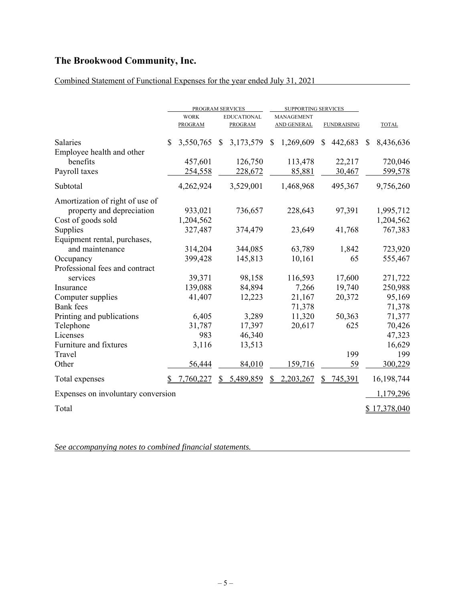# Combined Statement of Functional Expenses for the year ended July 31, 2021

|                                    | PROGRAM SERVICES |                        |               | <b>SUPPORTING SERVICES</b>           |               |                                  |     |                    |               |              |
|------------------------------------|------------------|------------------------|---------------|--------------------------------------|---------------|----------------------------------|-----|--------------------|---------------|--------------|
|                                    |                  | <b>WORK</b><br>PROGRAM |               | <b>EDUCATIONAL</b><br><b>PROGRAM</b> |               | MANAGEMENT<br><b>AND GENERAL</b> |     | <b>FUNDRAISING</b> |               | <b>TOTAL</b> |
| <b>Salaries</b>                    | <sup>\$</sup>    | 3,550,765              | <sup>\$</sup> | 3,173,579                            | <sup>\$</sup> | 1,269,609                        | \$. | 442,683            | <sup>\$</sup> | 8,436,636    |
| Employee health and other          |                  |                        |               |                                      |               |                                  |     |                    |               |              |
| benefits                           |                  | 457,601                |               | 126,750                              |               | 113,478                          |     | 22,217             |               | 720,046      |
| Payroll taxes                      |                  | 254,558                |               | 228,672                              |               | 85,881                           |     | 30,467             |               | 599,578      |
| Subtotal                           |                  | 4,262,924              |               | 3,529,001                            |               | 1,468,968                        |     | 495,367            |               | 9,756,260    |
| Amortization of right of use of    |                  |                        |               |                                      |               |                                  |     |                    |               |              |
| property and depreciation          |                  | 933,021                |               | 736,657                              |               | 228,643                          |     | 97,391             |               | 1,995,712    |
| Cost of goods sold                 |                  | 1,204,562              |               |                                      |               |                                  |     |                    |               | 1,204,562    |
| Supplies                           |                  | 327,487                |               | 374,479                              |               | 23,649                           |     | 41,768             |               | 767,383      |
| Equipment rental, purchases,       |                  |                        |               |                                      |               |                                  |     |                    |               |              |
| and maintenance                    |                  | 314,204                |               | 344,085                              |               | 63,789                           |     | 1,842              |               | 723,920      |
| Occupancy                          |                  | 399,428                |               | 145,813                              |               | 10,161                           |     | 65                 |               | 555,467      |
| Professional fees and contract     |                  |                        |               |                                      |               |                                  |     |                    |               |              |
| services                           |                  | 39,371                 |               | 98,158                               |               | 116,593                          |     | 17,600             |               | 271,722      |
| Insurance                          |                  | 139,088                |               | 84,894                               |               | 7,266                            |     | 19,740             |               | 250,988      |
| Computer supplies                  |                  | 41,407                 |               | 12,223                               |               | 21,167                           |     | 20,372             |               | 95,169       |
| <b>Bank</b> fees                   |                  |                        |               |                                      |               | 71,378                           |     |                    |               | 71,378       |
| Printing and publications          |                  | 6,405                  |               | 3,289                                |               | 11,320                           |     | 50,363             |               | 71,377       |
| Telephone                          |                  | 31,787                 |               | 17,397                               |               | 20,617                           |     | 625                |               | 70,426       |
| Licenses                           |                  | 983                    |               | 46,340                               |               |                                  |     |                    |               | 47,323       |
| Furniture and fixtures             |                  | 3,116                  |               | 13,513                               |               |                                  |     |                    |               | 16,629       |
| Travel                             |                  |                        |               |                                      |               |                                  |     | 199                |               | 199          |
| Other                              |                  | 56,444                 |               | 84,010                               |               | 159,716                          |     | 59                 |               | 300,229      |
| Total expenses                     |                  | 7,760,227              |               | 5,489,859                            | \$.           | 2,203,267                        | S.  | 745,391            |               | 16,198,744   |
| Expenses on involuntary conversion |                  |                        |               |                                      |               |                                  |     |                    |               | 1,179,296    |
| Total                              |                  |                        |               |                                      |               |                                  |     |                    |               | 17,378,040   |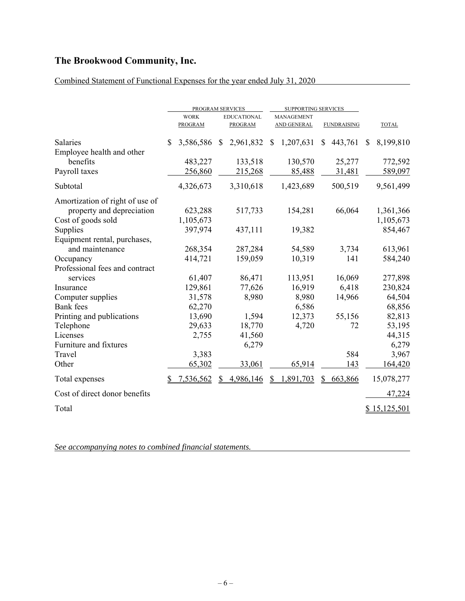# Combined Statement of Functional Expenses for the year ended July 31, 2020

|                                 | PROGRAM SERVICES |                        |              | <b>SUPPORTING SERVICES</b>           |              |                                  |     |                    |               |              |
|---------------------------------|------------------|------------------------|--------------|--------------------------------------|--------------|----------------------------------|-----|--------------------|---------------|--------------|
|                                 |                  | <b>WORK</b><br>PROGRAM |              | <b>EDUCATIONAL</b><br><b>PROGRAM</b> |              | MANAGEMENT<br><b>AND GENERAL</b> |     | <b>FUNDRAISING</b> |               | <b>TOTAL</b> |
| Salaries                        | \$               | 3,586,586              | <sup>S</sup> | 2,961,832                            | $\mathbb{S}$ | 1,207,631                        | \$  | 443,761            | <sup>\$</sup> | 8,199,810    |
| Employee health and other       |                  |                        |              |                                      |              |                                  |     |                    |               |              |
| benefits                        |                  | 483,227                |              | 133,518                              |              | 130,570                          |     | 25,277             |               | 772,592      |
| Payroll taxes                   |                  | 256,860                |              | 215,268                              |              | 85,488                           |     | 31,481             |               | 589,097      |
| Subtotal                        |                  | 4,326,673              |              | 3,310,618                            |              | 1,423,689                        |     | 500,519            |               | 9,561,499    |
| Amortization of right of use of |                  |                        |              |                                      |              |                                  |     |                    |               |              |
| property and depreciation       |                  | 623,288                |              | 517,733                              |              | 154,281                          |     | 66,064             |               | 1,361,366    |
| Cost of goods sold              |                  | 1,105,673              |              |                                      |              |                                  |     |                    |               | 1,105,673    |
| Supplies                        |                  | 397,974                |              | 437,111                              |              | 19,382                           |     |                    |               | 854,467      |
| Equipment rental, purchases,    |                  |                        |              |                                      |              |                                  |     |                    |               |              |
| and maintenance                 |                  | 268,354                |              | 287,284                              |              | 54,589                           |     | 3,734              |               | 613,961      |
| Occupancy                       |                  | 414,721                |              | 159,059                              |              | 10,319                           |     | 141                |               | 584,240      |
| Professional fees and contract  |                  |                        |              |                                      |              |                                  |     |                    |               |              |
| services                        |                  | 61,407                 |              | 86,471                               |              | 113,951                          |     | 16,069             |               | 277,898      |
| Insurance                       |                  | 129,861                |              | 77,626                               |              | 16,919                           |     | 6,418              |               | 230,824      |
| Computer supplies               |                  | 31,578                 |              | 8,980                                |              | 8,980                            |     | 14,966             |               | 64,504       |
| <b>Bank</b> fees                |                  | 62,270                 |              |                                      |              | 6,586                            |     |                    |               | 68,856       |
| Printing and publications       |                  | 13,690                 |              | 1,594                                |              | 12,373                           |     | 55,156             |               | 82,813       |
| Telephone                       |                  | 29,633                 |              | 18,770                               |              | 4,720                            |     | 72                 |               | 53,195       |
| Licenses                        |                  | 2,755                  |              | 41,560                               |              |                                  |     |                    |               | 44,315       |
| Furniture and fixtures          |                  |                        |              | 6,279                                |              |                                  |     |                    |               | 6,279        |
| Travel                          |                  | 3,383                  |              |                                      |              |                                  |     | 584                |               | 3,967        |
| Other                           |                  | 65,302                 |              | 33,061                               |              | 65,914                           |     | 143                |               | 164,420      |
| Total expenses                  |                  | 7,536,562              |              | 4,986,146                            | S.           | 1,891,703                        | \$. | 663,866            |               | 15,078,277   |
| Cost of direct donor benefits   |                  |                        |              |                                      |              |                                  |     |                    |               | 47,224       |
| Total                           |                  |                        |              |                                      |              |                                  |     |                    |               | 15,125,501   |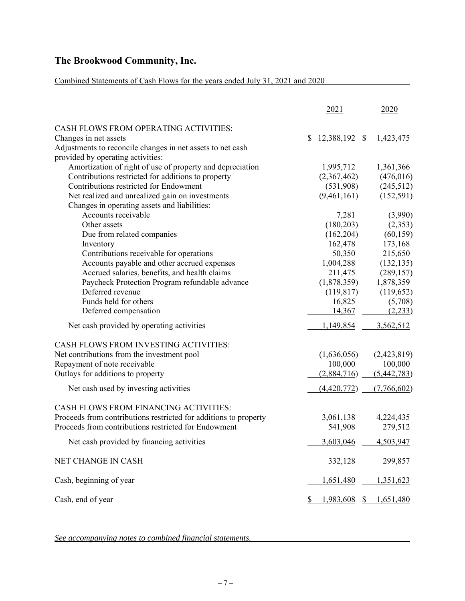# Combined Statements of Cash Flows for the years ended July 31, 2021 and 2020

|                                                                  |    | 2021          |    | 2020        |
|------------------------------------------------------------------|----|---------------|----|-------------|
| CASH FLOWS FROM OPERATING ACTIVITIES:                            |    |               |    |             |
| Changes in net assets                                            | S. | 12,388,192 \$ |    | 1,423,475   |
| Adjustments to reconcile changes in net assets to net cash       |    |               |    |             |
| provided by operating activities:                                |    |               |    |             |
| Amortization of right of use of property and depreciation        |    | 1,995,712     |    | 1,361,366   |
| Contributions restricted for additions to property               |    | (2,367,462)   |    | (476, 016)  |
| Contributions restricted for Endowment                           |    | (531,908)     |    | (245,512)   |
| Net realized and unrealized gain on investments                  |    | (9,461,161)   |    | (152, 591)  |
| Changes in operating assets and liabilities:                     |    |               |    |             |
| Accounts receivable                                              |    | 7,281         |    | (3,990)     |
| Other assets                                                     |    | (180, 203)    |    | (2,353)     |
| Due from related companies                                       |    | (162, 204)    |    | (60, 159)   |
| Inventory                                                        |    | 162,478       |    | 173,168     |
| Contributions receivable for operations                          |    | 50,350        |    | 215,650     |
| Accounts payable and other accrued expenses                      |    | 1,004,288     |    | (132, 135)  |
| Accrued salaries, benefits, and health claims                    |    | 211,475       |    | (289, 157)  |
| Paycheck Protection Program refundable advance                   |    | (1,878,359)   |    | 1,878,359   |
| Deferred revenue                                                 |    | (119, 817)    |    | (119,652)   |
| Funds held for others                                            |    | 16,825        |    | (5,708)     |
| Deferred compensation                                            |    | 14,367        |    | (2,233)     |
| Net cash provided by operating activities                        |    | 1,149,854     |    | 3,562,512   |
| <b>CASH FLOWS FROM INVESTING ACTIVITIES:</b>                     |    |               |    |             |
| Net contributions from the investment pool                       |    | (1,636,056)   |    | (2,423,819) |
| Repayment of note receivable                                     |    | 100,000       |    | 100,000     |
| Outlays for additions to property                                |    | (2,884,716)   |    | (5,442,783) |
| Net cash used by investing activities                            |    | (4,420,772)   |    | (7,766,602) |
| <b>CASH FLOWS FROM FINANCING ACTIVITIES:</b>                     |    |               |    |             |
| Proceeds from contributions restricted for additions to property |    | 3,061,138     |    | 4,224,435   |
| Proceeds from contributions restricted for Endowment             |    | 541,908       |    | 279,512     |
| Net cash provided by financing activities                        |    | 3,603,046     |    | 4,503,947   |
| NET CHANGE IN CASH                                               |    | 332,128       |    | 299,857     |
| Cash, beginning of year                                          |    | 1,651,480     |    | 1,351,623   |
| Cash, end of year                                                |    | 1,983,608     | -S | 1,651,480   |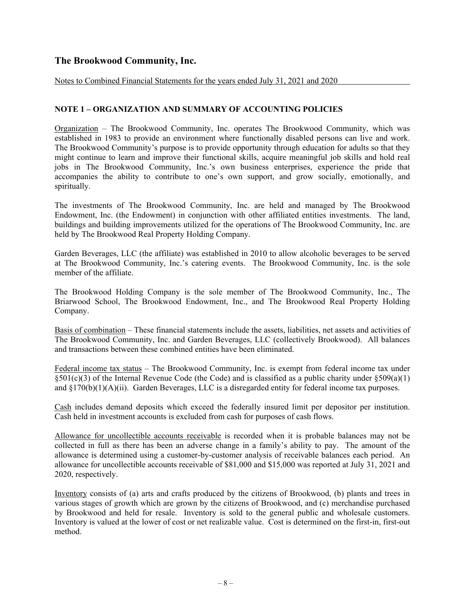### Notes to Combined Financial Statements for the years ended July 31, 2021 and 2020

## **NOTE 1 – ORGANIZATION AND SUMMARY OF ACCOUNTING POLICIES**

Organization – The Brookwood Community, Inc. operates The Brookwood Community, which was established in 1983 to provide an environment where functionally disabled persons can live and work. The Brookwood Community's purpose is to provide opportunity through education for adults so that they might continue to learn and improve their functional skills, acquire meaningful job skills and hold real jobs in The Brookwood Community, Inc.'s own business enterprises, experience the pride that accompanies the ability to contribute to one's own support, and grow socially, emotionally, and spiritually.

The investments of The Brookwood Community, Inc. are held and managed by The Brookwood Endowment, Inc. (the Endowment) in conjunction with other affiliated entities investments. The land, buildings and building improvements utilized for the operations of The Brookwood Community, Inc. are held by The Brookwood Real Property Holding Company.

Garden Beverages, LLC (the affiliate) was established in 2010 to allow alcoholic beverages to be served at The Brookwood Community, Inc.'s catering events. The Brookwood Community, Inc. is the sole member of the affiliate.

The Brookwood Holding Company is the sole member of The Brookwood Community, Inc., The Briarwood School, The Brookwood Endowment, Inc., and The Brookwood Real Property Holding Company.

Basis of combination – These financial statements include the assets, liabilities, net assets and activities of The Brookwood Community, Inc. and Garden Beverages, LLC (collectively Brookwood). All balances and transactions between these combined entities have been eliminated.

Federal income tax status – The Brookwood Community, Inc. is exempt from federal income tax under  $\S501(c)(3)$  of the Internal Revenue Code (the Code) and is classified as a public charity under  $\S509(a)(1)$ and §170(b)(1)(A)(ii). Garden Beverages, LLC is a disregarded entity for federal income tax purposes.

Cash includes demand deposits which exceed the federally insured limit per depositor per institution. Cash held in investment accounts is excluded from cash for purposes of cash flows.

Allowance for uncollectible accounts receivable is recorded when it is probable balances may not be collected in full as there has been an adverse change in a family's ability to pay. The amount of the allowance is determined using a customer-by-customer analysis of receivable balances each period. An allowance for uncollectible accounts receivable of \$81,000 and \$15,000 was reported at July 31, 2021 and 2020, respectively.

Inventory consists of (a) arts and crafts produced by the citizens of Brookwood, (b) plants and trees in various stages of growth which are grown by the citizens of Brookwood, and (c) merchandise purchased by Brookwood and held for resale. Inventory is sold to the general public and wholesale customers. Inventory is valued at the lower of cost or net realizable value. Cost is determined on the first-in, first-out method.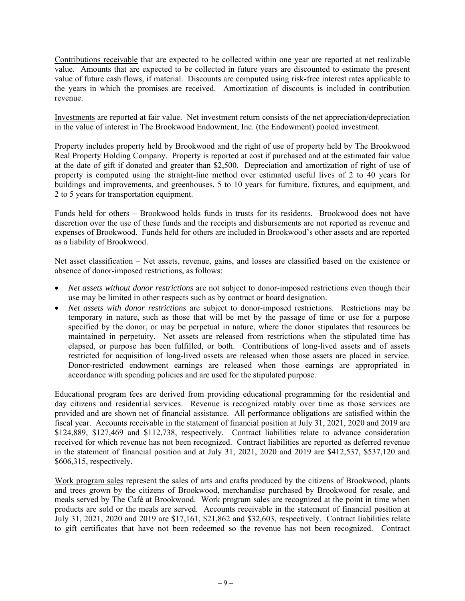Contributions receivable that are expected to be collected within one year are reported at net realizable value. Amounts that are expected to be collected in future years are discounted to estimate the present value of future cash flows, if material. Discounts are computed using risk-free interest rates applicable to the years in which the promises are received. Amortization of discounts is included in contribution revenue.

Investments are reported at fair value. Net investment return consists of the net appreciation/depreciation in the value of interest in The Brookwood Endowment, Inc. (the Endowment) pooled investment.

Property includes property held by Brookwood and the right of use of property held by The Brookwood Real Property Holding Company. Property is reported at cost if purchased and at the estimated fair value at the date of gift if donated and greater than \$2,500. Depreciation and amortization of right of use of property is computed using the straight-line method over estimated useful lives of 2 to 40 years for buildings and improvements, and greenhouses, 5 to 10 years for furniture, fixtures, and equipment, and 2 to 5 years for transportation equipment.

Funds held for others – Brookwood holds funds in trusts for its residents. Brookwood does not have discretion over the use of these funds and the receipts and disbursements are not reported as revenue and expenses of Brookwood. Funds held for others are included in Brookwood's other assets and are reported as a liability of Brookwood.

Net asset classification – Net assets, revenue, gains, and losses are classified based on the existence or absence of donor-imposed restrictions, as follows:

- *Net assets without donor restrictions* are not subject to donor-imposed restrictions even though their use may be limited in other respects such as by contract or board designation.
- *Net assets with donor restrictions* are subject to donor-imposed restrictions. Restrictions may be temporary in nature, such as those that will be met by the passage of time or use for a purpose specified by the donor, or may be perpetual in nature, where the donor stipulates that resources be maintained in perpetuity. Net assets are released from restrictions when the stipulated time has elapsed, or purpose has been fulfilled, or both. Contributions of long-lived assets and of assets restricted for acquisition of long-lived assets are released when those assets are placed in service. Donor-restricted endowment earnings are released when those earnings are appropriated in accordance with spending policies and are used for the stipulated purpose.

Educational program fees are derived from providing educational programming for the residential and day citizens and residential services. Revenue is recognized ratably over time as those services are provided and are shown net of financial assistance. All performance obligations are satisfied within the fiscal year. Accounts receivable in the statement of financial position at July 31, 2021, 2020 and 2019 are \$124,889, \$127,469 and \$112,738, respectively. Contract liabilities relate to advance consideration received for which revenue has not been recognized. Contract liabilities are reported as deferred revenue in the statement of financial position and at July 31, 2021, 2020 and 2019 are \$412,537, \$537,120 and \$606,315, respectively.

Work program sales represent the sales of arts and crafts produced by the citizens of Brookwood, plants and trees grown by the citizens of Brookwood, merchandise purchased by Brookwood for resale, and meals served by The Café at Brookwood. Work program sales are recognized at the point in time when products are sold or the meals are served. Accounts receivable in the statement of financial position at July 31, 2021, 2020 and 2019 are \$17,161, \$21,862 and \$32,603, respectively. Contract liabilities relate to gift certificates that have not been redeemed so the revenue has not been recognized. Contract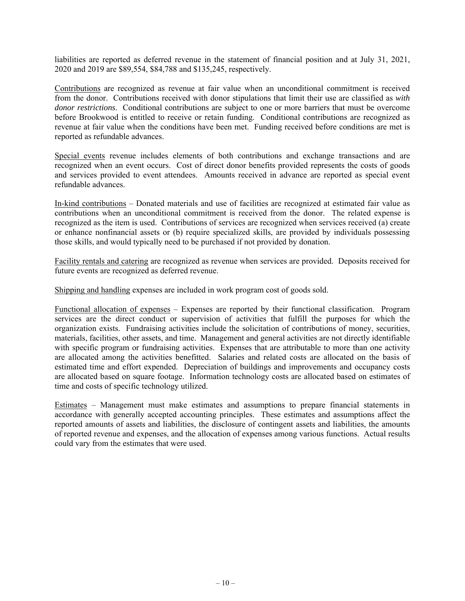liabilities are reported as deferred revenue in the statement of financial position and at July 31, 2021, 2020 and 2019 are \$89,554, \$84,788 and \$135,245, respectively.

Contributions are recognized as revenue at fair value when an unconditional commitment is received from the donor. Contributions received with donor stipulations that limit their use are classified as *with donor restrictions*. Conditional contributions are subject to one or more barriers that must be overcome before Brookwood is entitled to receive or retain funding. Conditional contributions are recognized as revenue at fair value when the conditions have been met. Funding received before conditions are met is reported as refundable advances.

Special events revenue includes elements of both contributions and exchange transactions and are recognized when an event occurs. Cost of direct donor benefits provided represents the costs of goods and services provided to event attendees. Amounts received in advance are reported as special event refundable advances.

In-kind contributions – Donated materials and use of facilities are recognized at estimated fair value as contributions when an unconditional commitment is received from the donor. The related expense is recognized as the item is used. Contributions of services are recognized when services received (a) create or enhance nonfinancial assets or (b) require specialized skills, are provided by individuals possessing those skills, and would typically need to be purchased if not provided by donation.

Facility rentals and catering are recognized as revenue when services are provided. Deposits received for future events are recognized as deferred revenue.

Shipping and handling expenses are included in work program cost of goods sold.

Functional allocation of expenses – Expenses are reported by their functional classification. Program services are the direct conduct or supervision of activities that fulfill the purposes for which the organization exists. Fundraising activities include the solicitation of contributions of money, securities, materials, facilities, other assets, and time. Management and general activities are not directly identifiable with specific program or fundraising activities. Expenses that are attributable to more than one activity are allocated among the activities benefitted. Salaries and related costs are allocated on the basis of estimated time and effort expended. Depreciation of buildings and improvements and occupancy costs are allocated based on square footage. Information technology costs are allocated based on estimates of time and costs of specific technology utilized.

Estimates – Management must make estimates and assumptions to prepare financial statements in accordance with generally accepted accounting principles. These estimates and assumptions affect the reported amounts of assets and liabilities, the disclosure of contingent assets and liabilities, the amounts of reported revenue and expenses, and the allocation of expenses among various functions. Actual results could vary from the estimates that were used.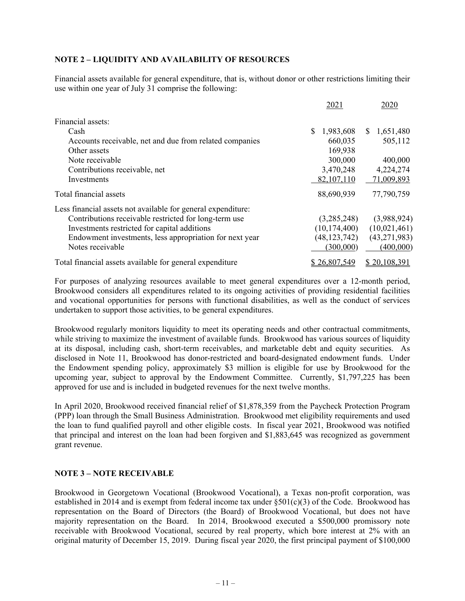## **NOTE 2 – LIQUIDITY AND AVAILABILITY OF RESOURCES**

Financial assets available for general expenditure, that is, without donor or other restrictions limiting their use within one year of July 31 comprise the following:

|                                                              | 2021             | 2020            |
|--------------------------------------------------------------|------------------|-----------------|
| Financial assets:                                            |                  |                 |
| Cash                                                         | \$.<br>1,983,608 | 1,651,480<br>S. |
| Accounts receivable, net and due from related companies      | 660,035          | 505,112         |
| Other assets                                                 | 169,938          |                 |
| Note receivable                                              | 300,000          | 400,000         |
| Contributions receivable, net                                | 3,470,248        | 4,224,274       |
| Investments                                                  | 82,107,110       | 71,009,893      |
| Total financial assets                                       | 88,690,939       | 77,790,759      |
| Less financial assets not available for general expenditure: |                  |                 |
| Contributions receivable restricted for long-term use        | (3,285,248)      | (3,988,924)     |
| Investments restricted for capital additions                 | (10, 174, 400)   | (10,021,461)    |
| Endowment investments, less appropriation for next year      | (48, 123, 742)   | (43, 271, 983)  |
| Notes receivable                                             | (300,000)        | (400,000)       |
| Total financial assets available for general expenditure     | \$26,807,549     | \$20,108,391    |

For purposes of analyzing resources available to meet general expenditures over a 12-month period, Brookwood considers all expenditures related to its ongoing activities of providing residential facilities and vocational opportunities for persons with functional disabilities, as well as the conduct of services undertaken to support those activities, to be general expenditures.

Brookwood regularly monitors liquidity to meet its operating needs and other contractual commitments, while striving to maximize the investment of available funds. Brookwood has various sources of liquidity at its disposal, including cash, short-term receivables, and marketable debt and equity securities. As disclosed in Note 11, Brookwood has donor-restricted and board-designated endowment funds. Under the Endowment spending policy, approximately \$3 million is eligible for use by Brookwood for the upcoming year, subject to approval by the Endowment Committee. Currently, \$1,797,225 has been approved for use and is included in budgeted revenues for the next twelve months.

In April 2020, Brookwood received financial relief of \$1,878,359 from the Paycheck Protection Program (PPP) loan through the Small Business Administration. Brookwood met eligibility requirements and used the loan to fund qualified payroll and other eligible costs. In fiscal year 2021, Brookwood was notified that principal and interest on the loan had been forgiven and \$1,883,645 was recognized as government grant revenue.

### **NOTE 3 – NOTE RECEIVABLE**

Brookwood in Georgetown Vocational (Brookwood Vocational), a Texas non-profit corporation, was established in 2014 and is exempt from federal income tax under  $\S501(c)(3)$  of the Code. Brookwood has representation on the Board of Directors (the Board) of Brookwood Vocational, but does not have majority representation on the Board. In 2014, Brookwood executed a \$500,000 promissory note receivable with Brookwood Vocational, secured by real property, which bore interest at 2% with an original maturity of December 15, 2019. During fiscal year 2020, the first principal payment of \$100,000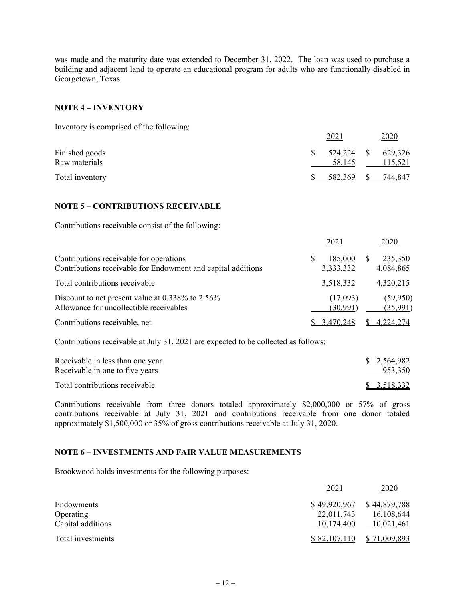was made and the maturity date was extended to December 31, 2022. The loan was used to purchase a building and adjacent land to operate an educational program for adults who are functionally disabled in Georgetown, Texas.

#### **NOTE 4 – INVENTORY**

Inventory is comprised of the following:

|                                 | 2021 | 2020                                       |
|---------------------------------|------|--------------------------------------------|
| Finished goods<br>Raw materials |      | 629,326<br>524,224 \$<br>58,145<br>115,521 |
| Total inventory                 |      | 744,847<br>582,369                         |

#### **NOTE 5 – CONTRIBUTIONS RECEIVABLE**

Contributions receivable consist of the following:

|                                                                                                         | 2021                 | 2020                 |
|---------------------------------------------------------------------------------------------------------|----------------------|----------------------|
| Contributions receivable for operations<br>Contributions receivable for Endowment and capital additions | 185,000<br>3,333,332 | 235,350<br>4,084,865 |
| Total contributions receivable                                                                          | 3,518,332            | 4,320,215            |
| Discount to net present value at $0.338\%$ to $2.56\%$<br>Allowance for uncollectible receivables       | (17,093)<br>(30,991) | (59,950)<br>(35,991) |
| Contributions receivable, net                                                                           | \$ 3.470.248         | 4,224,274            |

Contributions receivable at July 31, 2021 are expected to be collected as follows:

| Receivable in less than one year | \$2,564,982 |
|----------------------------------|-------------|
| Receivable in one to five years  | 953,350     |
| Total contributions receivable   | \$3,518,332 |

Contributions receivable from three donors totaled approximately \$2,000,000 or 57% of gross contributions receivable at July 31, 2021 and contributions receivable from one donor totaled approximately \$1,500,000 or 35% of gross contributions receivable at July 31, 2020.

#### **NOTE 6 – INVESTMENTS AND FAIR VALUE MEASUREMENTS**

Brookwood holds investments for the following purposes:

|                   | 2021         | 2020         |
|-------------------|--------------|--------------|
| Endowments        | \$49,920,967 | \$44,879,788 |
| Operating         | 22,011,743   | 16,108,644   |
| Capital additions | 10,174,400   | 10,021,461   |
| Total investments | \$82,107,110 | \$71,009,893 |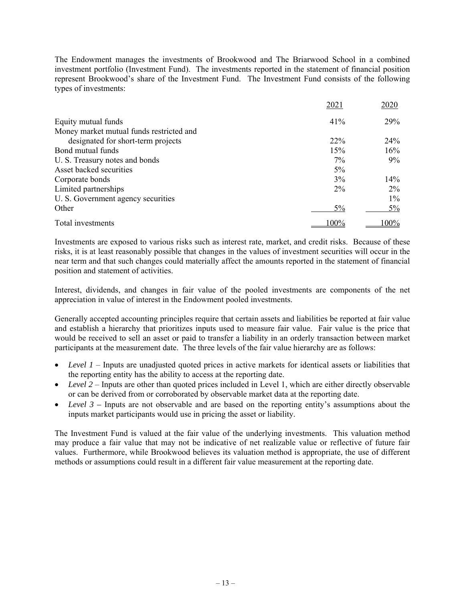The Endowment manages the investments of Brookwood and The Briarwood School in a combined investment portfolio (Investment Fund). The investments reported in the statement of financial position represent Brookwood's share of the Investment Fund. The Investment Fund consists of the following types of investments:

|                                          | 2021  | 2020  |
|------------------------------------------|-------|-------|
| Equity mutual funds                      | 41%   | 29%   |
| Money market mutual funds restricted and |       |       |
| designated for short-term projects       | 22%   | 24%   |
| Bond mutual funds                        | 15%   | 16%   |
| U. S. Treasury notes and bonds           | 7%    | 9%    |
| Asset backed securities                  | $5\%$ |       |
| Corporate bonds                          | 3%    | 14%   |
| Limited partnerships                     | $2\%$ | $2\%$ |
| U. S. Government agency securities       |       | $1\%$ |
| Other                                    | 5%    | 5%    |
| Total investments                        | 100%  | 100%  |

Investments are exposed to various risks such as interest rate, market, and credit risks. Because of these risks, it is at least reasonably possible that changes in the values of investment securities will occur in the near term and that such changes could materially affect the amounts reported in the statement of financial position and statement of activities.

Interest, dividends, and changes in fair value of the pooled investments are components of the net appreciation in value of interest in the Endowment pooled investments.

Generally accepted accounting principles require that certain assets and liabilities be reported at fair value and establish a hierarchy that prioritizes inputs used to measure fair value. Fair value is the price that would be received to sell an asset or paid to transfer a liability in an orderly transaction between market participants at the measurement date. The three levels of the fair value hierarchy are as follows:

- *Level 1* Inputs are unadjusted quoted prices in active markets for identical assets or liabilities that the reporting entity has the ability to access at the reporting date.
- *Level 2* Inputs are other than quoted prices included in Level 1, which are either directly observable or can be derived from or corroborated by observable market data at the reporting date.
- *Level 3* Inputs are not observable and are based on the reporting entity's assumptions about the inputs market participants would use in pricing the asset or liability.

The Investment Fund is valued at the fair value of the underlying investments. This valuation method may produce a fair value that may not be indicative of net realizable value or reflective of future fair values. Furthermore, while Brookwood believes its valuation method is appropriate, the use of different methods or assumptions could result in a different fair value measurement at the reporting date.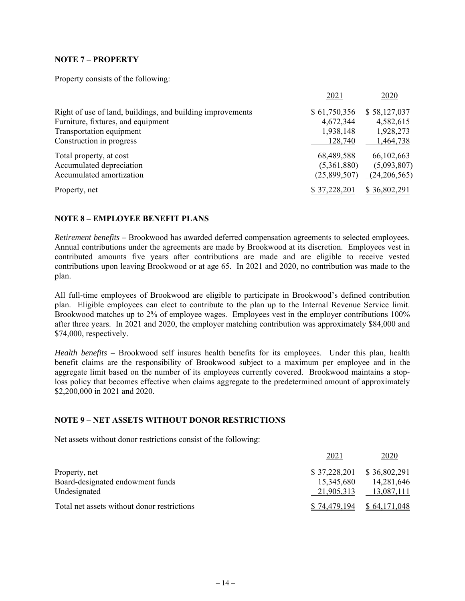#### **NOTE 7 – PROPERTY**

Property consists of the following:

|                                                            | 2021         | 2020         |
|------------------------------------------------------------|--------------|--------------|
| Right of use of land, buildings, and building improvements | \$61,750,356 | \$58,127,037 |
| Furniture, fixtures, and equipment                         | 4,672,344    | 4,582,615    |
| Transportation equipment                                   | 1,938,148    | 1,928,273    |
| Construction in progress                                   | 128,740      | 1,464,738    |
| Total property, at cost                                    | 68,489,588   | 66, 102, 663 |
| Accumulated depreciation                                   | (5,361,880)  | (5,093,807)  |
| Accumulated amortization                                   | (25,899,507) | (24,206,565) |
| Property, net                                              | \$37,228,201 | \$36,802,291 |

#### **NOTE 8 – EMPLOYEE BENEFIT PLANS**

*Retirement benefits –* Brookwood has awarded deferred compensation agreements to selected employees. Annual contributions under the agreements are made by Brookwood at its discretion. Employees vest in contributed amounts five years after contributions are made and are eligible to receive vested contributions upon leaving Brookwood or at age 65. In 2021 and 2020, no contribution was made to the plan.

All full-time employees of Brookwood are eligible to participate in Brookwood's defined contribution plan. Eligible employees can elect to contribute to the plan up to the Internal Revenue Service limit. Brookwood matches up to 2% of employee wages. Employees vest in the employer contributions 100% after three years. In 2021 and 2020, the employer matching contribution was approximately \$84,000 and \$74,000, respectively.

*Health benefits –* Brookwood self insures health benefits for its employees. Under this plan, health benefit claims are the responsibility of Brookwood subject to a maximum per employee and in the aggregate limit based on the number of its employees currently covered. Brookwood maintains a stoploss policy that becomes effective when claims aggregate to the predetermined amount of approximately \$2,200,000 in 2021 and 2020.

#### **NOTE 9 – NET ASSETS WITHOUT DONOR RESTRICTIONS**

Net assets without donor restrictions consist of the following:

|                                             | 2021         | 2020         |
|---------------------------------------------|--------------|--------------|
| Property, net                               | \$37,228,201 | \$36,802,291 |
| Board-designated endowment funds            | 15,345,680   | 14,281,646   |
| Undesignated                                | 21,905,313   | 13,087,111   |
| Total net assets without donor restrictions | \$74,479,194 | \$64,171,048 |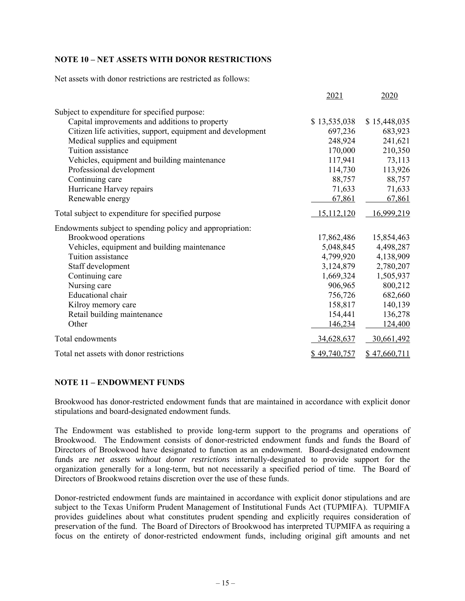### **NOTE 10 – NET ASSETS WITH DONOR RESTRICTIONS**

Net assets with donor restrictions are restricted as follows:

|                                                             | 2021         | 2020         |
|-------------------------------------------------------------|--------------|--------------|
| Subject to expenditure for specified purpose:               |              |              |
| Capital improvements and additions to property              | \$13,535,038 | \$15,448,035 |
| Citizen life activities, support, equipment and development | 697,236      | 683,923      |
| Medical supplies and equipment                              | 248,924      | 241,621      |
| Tuition assistance                                          | 170,000      | 210,350      |
| Vehicles, equipment and building maintenance                | 117,941      | 73,113       |
| Professional development                                    | 114,730      | 113,926      |
| Continuing care                                             | 88,757       | 88,757       |
| Hurricane Harvey repairs                                    | 71,633       | 71,633       |
| Renewable energy                                            | 67,861       | 67,861       |
| Total subject to expenditure for specified purpose          | 15,112,120   | 16,999,219   |
| Endowments subject to spending policy and appropriation:    |              |              |
| Brookwood operations                                        | 17,862,486   | 15,854,463   |
| Vehicles, equipment and building maintenance                | 5,048,845    | 4,498,287    |
| Tuition assistance                                          | 4,799,920    | 4,138,909    |
| Staff development                                           | 3,124,879    | 2,780,207    |
| Continuing care                                             | 1,669,324    | 1,505,937    |
| Nursing care                                                | 906,965      | 800,212      |
| Educational chair                                           | 756,726      | 682,660      |
| Kilroy memory care                                          | 158,817      | 140,139      |
| Retail building maintenance                                 | 154,441      | 136,278      |
| Other                                                       | 146,234      | 124,400      |
| Total endowments                                            | 34,628,637   | 30,661,492   |
| Total net assets with donor restrictions                    | \$49,740,757 | \$47,660,711 |

### **NOTE 11 – ENDOWMENT FUNDS**

Brookwood has donor-restricted endowment funds that are maintained in accordance with explicit donor stipulations and board-designated endowment funds.

The Endowment was established to provide long-term support to the programs and operations of Brookwood. The Endowment consists of donor-restricted endowment funds and funds the Board of Directors of Brookwood have designated to function as an endowment. Board-designated endowment funds are *net assets without donor restrictions* internally-designated to provide support for the organization generally for a long-term, but not necessarily a specified period of time. The Board of Directors of Brookwood retains discretion over the use of these funds.

Donor-restricted endowment funds are maintained in accordance with explicit donor stipulations and are subject to the Texas Uniform Prudent Management of Institutional Funds Act (TUPMIFA). TUPMIFA provides guidelines about what constitutes prudent spending and explicitly requires consideration of preservation of the fund. The Board of Directors of Brookwood has interpreted TUPMIFA as requiring a focus on the entirety of donor-restricted endowment funds, including original gift amounts and net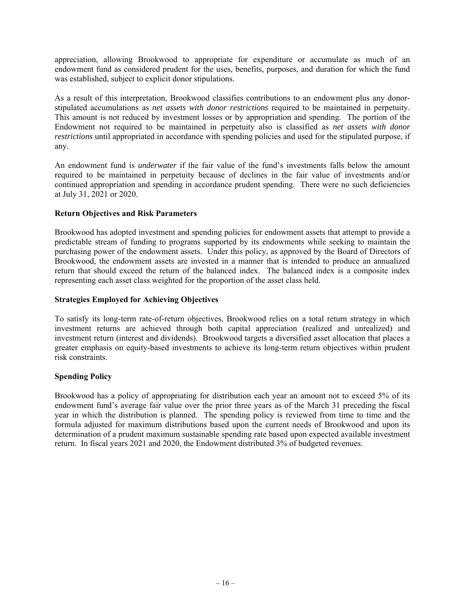appreciation, allowing Brookwood to appropriate for expenditure or accumulate as much of an endowment fund as considered prudent for the uses, benefits, purposes, and duration for which the fund was established, subject to explicit donor stipulations.

As a result of this interpretation, Brookwood classifies contributions to an endowment plus any donorstipulated accumulations as *net assets with donor restrictions* required to be maintained in perpetuity. This amount is not reduced by investment losses or by appropriation and spending. The portion of the Endowment not required to be maintained in perpetuity also is classified as *net assets with donor restrictions* until appropriated in accordance with spending policies and used for the stipulated purpose, if any.

An endowment fund is *underwater* if the fair value of the fund's investments falls below the amount required to be maintained in perpetuity because of declines in the fair value of investments and/or continued appropriation and spending in accordance prudent spending. There were no such deficiencies at July 31, 2021 or 2020.

## **Return Objectives and Risk Parameters**

Brookwood has adopted investment and spending policies for endowment assets that attempt to provide a predictable stream of funding to programs supported by its endowments while seeking to maintain the purchasing power of the endowment assets. Under this policy, as approved by the Board of Directors of Brookwood, the endowment assets are invested in a manner that is intended to produce an annualized return that should exceed the return of the balanced index. The balanced index is a composite index representing each asset class weighted for the proportion of the asset class held.

### **Strategies Employed for Achieving Objectives**

To satisfy its long-term rate-of-return objectives, Brookwood relies on a total return strategy in which investment returns are achieved through both capital appreciation (realized and unrealized) and investment return (interest and dividends). Brookwood targets a diversified asset allocation that places a greater emphasis on equity-based investments to achieve its long-term return objectives within prudent risk constraints.

## **Spending Policy**

Brookwood has a policy of appropriating for distribution each year an amount not to exceed 5% of its endowment fund's average fair value over the prior three years as of the March 31 preceding the fiscal year in which the distribution is planned. The spending policy is reviewed from time to time and the formula adjusted for maximum distributions based upon the current needs of Brookwood and upon its determination of a prudent maximum sustainable spending rate based upon expected available investment return. In fiscal years 2021 and 2020, the Endowment distributed 3% of budgeted revenues.